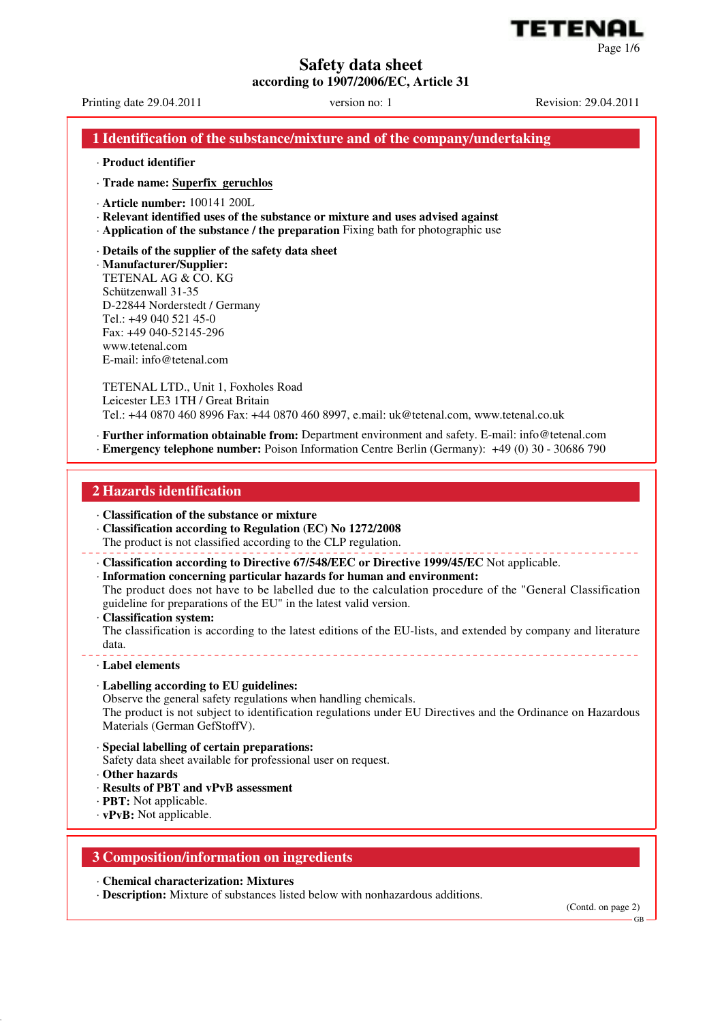# **Safety data sheet**

**according to 1907/2006/EC, Article 31**

Printing date 29.04.2011 version no: 1 Revision: 29.04.2011

ETENI

Page 1/6

# **1 Identification of the substance/mixture and of the company/undertaking**

#### · **Product identifier**

· **Trade name: Superfix geruchlos**

- · **Article number:** 100141 200L
- · **Relevant identified uses of the substance or mixture and uses advised against**
- · **Application of the substance / the preparation** Fixing bath for photographic use
- · **Details of the supplier of the safety data sheet**

· **Manufacturer/Supplier:** TETENAL AG & CO. KG Schützenwall 31-35 D-22844 Norderstedt / Germany Tel.: +49 040 521 45-0 Fax: +49 040-52145-296 www.tetenal.com E-mail: info@tetenal.com

TETENAL LTD., Unit 1, Foxholes Road Leicester LE3 1TH / Great Britain Tel.: +44 0870 460 8996 Fax: +44 0870 460 8997, e.mail: uk@tetenal.com, www.tetenal.co.uk

· **Further information obtainable from:** Department environment and safety. E-mail: info@tetenal.com · **Emergency telephone number:** Poison Information Centre Berlin (Germany): +49 (0) 30 - 30686 790

## **2 Hazards identification**

- · **Classification of the substance or mixture**
- · **Classification according to Regulation (EC) No 1272/2008**
- The product is not classified according to the CLP regulation.
- · **Classification according to Directive 67/548/EEC or Directive 1999/45/EC** Not applicable.
- · **Information concerning particular hazards for human and environment:**

The product does not have to be labelled due to the calculation procedure of the "General Classification guideline for preparations of the EU" in the latest valid version.

· **Classification system:**

The classification is according to the latest editions of the EU-lists, and extended by company and literature data.

#### · **Label elements**

### · **Labelling according to EU guidelines:**

Observe the general safety regulations when handling chemicals.

The product is not subject to identification regulations under EU Directives and the Ordinance on Hazardous Materials (German GefStoffV).

- · **Special labelling of certain preparations:**
- Safety data sheet available for professional user on request.
- · **Other hazards**
- · **Results of PBT and vPvB assessment**
- · **PBT:** Not applicable.
- · **vPvB:** Not applicable.

## **3 Composition/information on ingredients**

· **Chemical characterization: Mixtures**

· **Description:** Mixture of substances listed below with nonhazardous additions.

(Contd. on page 2)

GB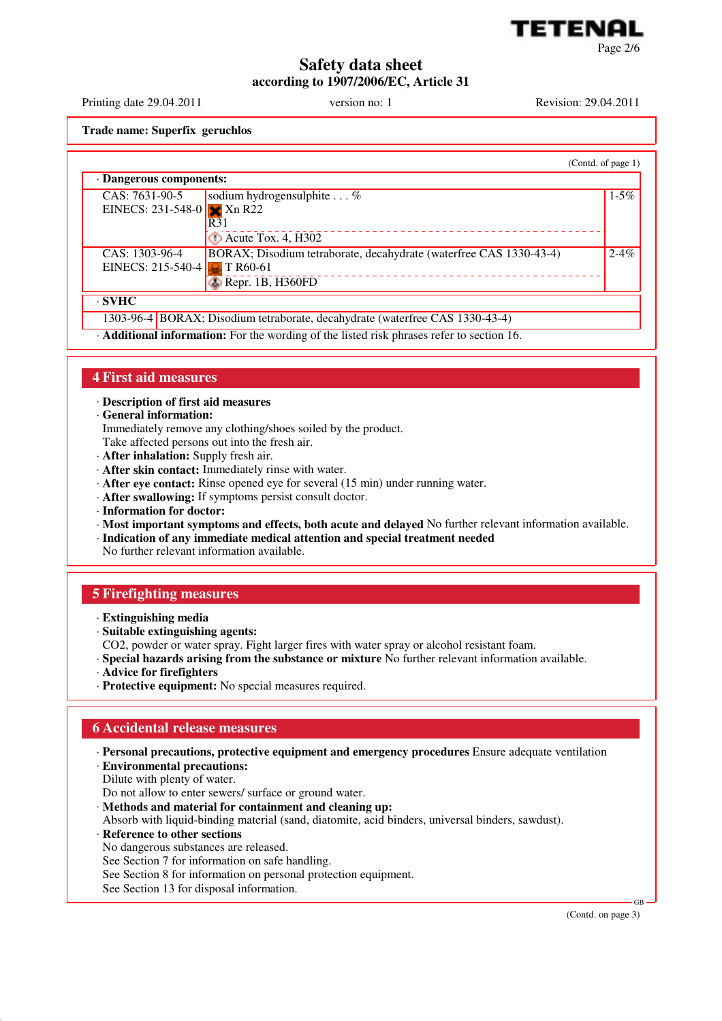

# **Safety data sheet according to 1907/2006/EC, Article 31**

Printing date 29.04.2011 version no: 1 Revision: 29.04.2011

**Trade name: Superfix geruchlos**

(Contd. of page 1) · **Dangerous components:** CAS: 7631-90-5 EINECS: 231-548-0 sodium hydrogensulphite . . . %  $Xn R22$ R31 Acute Tox. 4, H302  $1 - 5\%$ CAS: 1303-96-4 EINECS: 215-540-4 BORAX; Disodium tetraborate, decahydrate (waterfree CAS 1330-43-4) **T** R60-61 Repr. 1B, H360FD  $2 - 4\%$ · **SVHC** 1303-96-4 BORAX; Disodium tetraborate, decahydrate (waterfree CAS 1330-43-4)

· **Additional information:** For the wording of the listed risk phrases refer to section 16.

## **4 First aid measures**

· **Description of first aid measures**

· **General information:**

Immediately remove any clothing/shoes soiled by the product.

- Take affected persons out into the fresh air.
- · **After inhalation:** Supply fresh air.
- · **After skin contact:** Immediately rinse with water.
- · **After eye contact:** Rinse opened eye for several (15 min) under running water.
- · **After swallowing:** If symptoms persist consult doctor.
- · **Information for doctor:**
- · **Most important symptoms and effects, both acute and delayed** No further relevant information available.
- · **Indication of any immediate medical attention and special treatment needed**

No further relevant information available.

## **5 Firefighting measures**

- · **Extinguishing media**
- · **Suitable extinguishing agents:**
- CO2, powder or water spray. Fight larger fires with water spray or alcohol resistant foam.
- · **Special hazards arising from the substance or mixture** No further relevant information available.
- · **Advice for firefighters**
- · **Protective equipment:** No special measures required.

## **6 Accidental release measures**

- · **Personal precautions, protective equipment and emergency procedures** Ensure adequate ventilation · **Environmental precautions:**
- Dilute with plenty of water.

Do not allow to enter sewers/ surface or ground water.

- · **Methods and material for containment and cleaning up:**
- Absorb with liquid-binding material (sand, diatomite, acid binders, universal binders, sawdust).
- · **Reference to other sections**
- No dangerous substances are released.
- See Section 7 for information on safe handling.
- See Section 8 for information on personal protection equipment.
- See Section 13 for disposal information.

(Contd. on page 3)

GB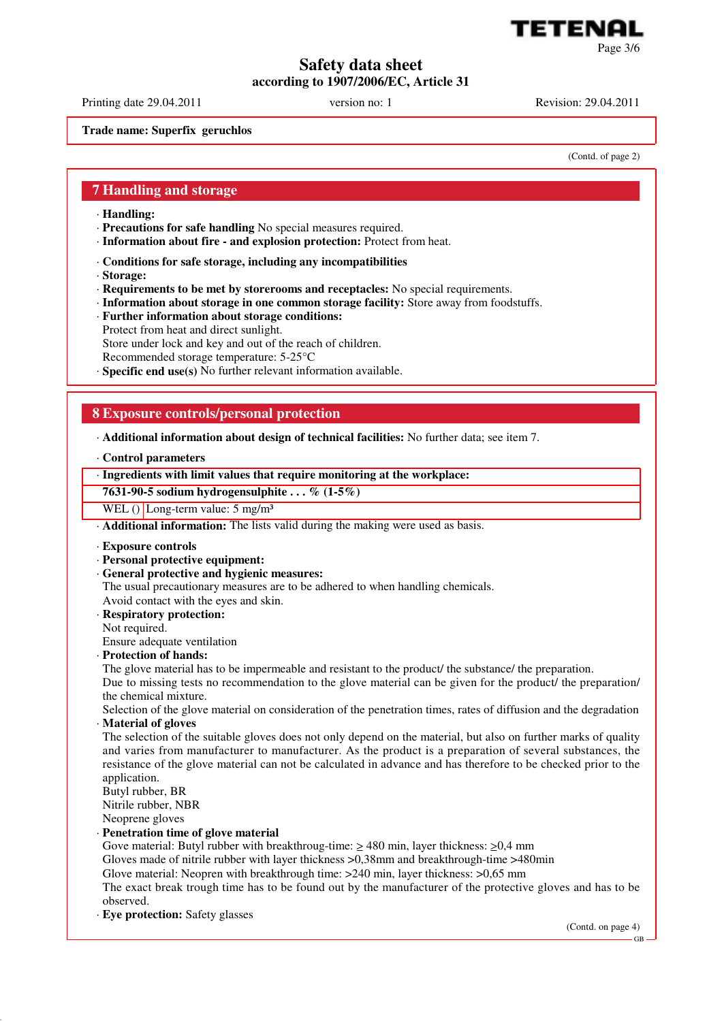

# **Safety data sheet**

**according to 1907/2006/EC, Article 31**

Printing date 29.04.2011 version no: 1 Revision: 29.04.2011

**Trade name: Superfix geruchlos**

(Contd. of page 2)

## **7 Handling and storage**

- · **Handling:**
- · **Precautions for safe handling** No special measures required.
- · **Information about fire and explosion protection:** Protect from heat.
- · **Conditions for safe storage, including any incompatibilities**
- · **Storage:**
- · **Requirements to be met by storerooms and receptacles:** No special requirements.
- · **Information about storage in one common storage facility:** Store away from foodstuffs.
- · **Further information about storage conditions:**
- Protect from heat and direct sunlight. Store under lock and key and out of the reach of children.
- Recommended storage temperature: 5-25°C
- · **Specific end use(s)** No further relevant information available.

# **8 Exposure controls/personal protection**

· **Additional information about design of technical facilities:** No further data; see item 7.

### · **Control parameters**

## · **Ingredients with limit values that require monitoring at the workplace:**

**7631-90-5 sodium hydrogensulphite . . . % (1-5%)**

WEL () Long-term value:  $5 \text{ mg/m}^3$ 

· **Additional information:** The lists valid during the making were used as basis.

- · **Exposure controls**
- · **Personal protective equipment:**
- · **General protective and hygienic measures:**

The usual precautionary measures are to be adhered to when handling chemicals.

- Avoid contact with the eyes and skin.
- · **Respiratory protection:**
- Not required.

Ensure adequate ventilation

- · **Protection of hands:**
- The glove material has to be impermeable and resistant to the product/ the substance/ the preparation.

Due to missing tests no recommendation to the glove material can be given for the product/ the preparation/ the chemical mixture.

Selection of the glove material on consideration of the penetration times, rates of diffusion and the degradation · **Material of gloves**

The selection of the suitable gloves does not only depend on the material, but also on further marks of quality and varies from manufacturer to manufacturer. As the product is a preparation of several substances, the resistance of the glove material can not be calculated in advance and has therefore to be checked prior to the application.

Butyl rubber, BR Nitrile rubber, NBR

Neoprene gloves

#### · **Penetration time of glove material**

Gove material: Butyl rubber with breakthroug-time: ≥ 480 min, layer thickness: ≥0,4 mm

Gloves made of nitrile rubber with layer thickness >0,38mm and breakthrough-time >480min

Glove material: Neopren with breakthrough time: >240 min, layer thickness: >0,65 mm

The exact break trough time has to be found out by the manufacturer of the protective gloves and has to be observed.

· **Eye protection:** Safety glasses

(Contd. on page 4)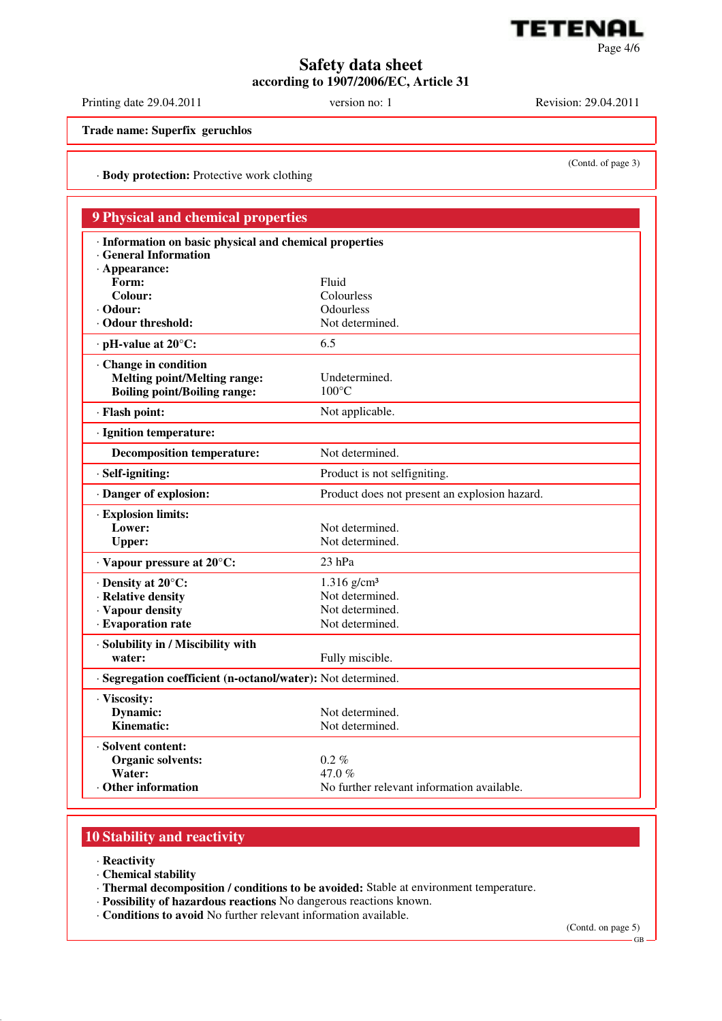

Page 4/6

# **Safety data sheet according to 1907/2006/EC, Article 31**

Printing date 29.04.2011 version no: 1 Revision: 29.04.2011

(Contd. of page 3)

**Trade name: Superfix geruchlos**

· **Body protection:** Protective work clothing

| <b>9 Physical and chemical properties</b><br>· Information on basic physical and chemical properties |                                               |
|------------------------------------------------------------------------------------------------------|-----------------------------------------------|
|                                                                                                      |                                               |
| $·$ Appearance:                                                                                      |                                               |
| Form:                                                                                                | Fluid                                         |
| <b>Colour:</b>                                                                                       | Colourless                                    |
| $\cdot$ Odour:<br>· Odour threshold:                                                                 | Odourless<br>Not determined.                  |
|                                                                                                      |                                               |
| $\cdot$ pH-value at 20 $\mathrm{^{\circ}C:}$                                                         | 6.5                                           |
| Change in condition                                                                                  |                                               |
| <b>Melting point/Melting range:</b>                                                                  | Undetermined.                                 |
| <b>Boiling point/Boiling range:</b>                                                                  | $100^{\circ}$ C                               |
| · Flash point:                                                                                       | Not applicable.                               |
| · Ignition temperature:                                                                              |                                               |
| <b>Decomposition temperature:</b>                                                                    | Not determined.                               |
| $\cdot$ Self-igniting:                                                                               | Product is not selfigniting.                  |
| · Danger of explosion:                                                                               | Product does not present an explosion hazard. |
| · Explosion limits:                                                                                  |                                               |
| Lower:                                                                                               | Not determined.                               |
| <b>Upper:</b>                                                                                        | Not determined.                               |
| $\cdot$ Vapour pressure at 20 $\mathrm{^{\circ}C:}$                                                  | $23$ hPa                                      |
| $\cdot$ Density at 20 $\mathrm{^{\circ}C:}$                                                          | $1.316$ g/cm <sup>3</sup>                     |
| · Relative density                                                                                   | Not determined.                               |
| · Vapour density                                                                                     | Not determined.                               |
| · Evaporation rate                                                                                   | Not determined.                               |
| · Solubility in / Miscibility with                                                                   |                                               |
| water:                                                                                               | Fully miscible.                               |
| · Segregation coefficient (n-octanol/water): Not determined.                                         |                                               |
| · Viscosity:                                                                                         |                                               |
| Dynamic:                                                                                             | Not determined.                               |
| Kinematic:                                                                                           | Not determined.                               |
| · Solvent content:                                                                                   |                                               |
| <b>Organic solvents:</b>                                                                             | $0.2\%$                                       |
| Water:                                                                                               | 47.0 %                                        |
| $\cdot$ Other information                                                                            | No further relevant information available.    |

# **10 Stability and reactivity**

- · **Reactivity**
- · **Chemical stability**
- · **Thermal decomposition / conditions to be avoided:** Stable at environment temperature.
- · **Possibility of hazardous reactions** No dangerous reactions known.
- · **Conditions to avoid** No further relevant information available.

(Contd. on page 5)

GB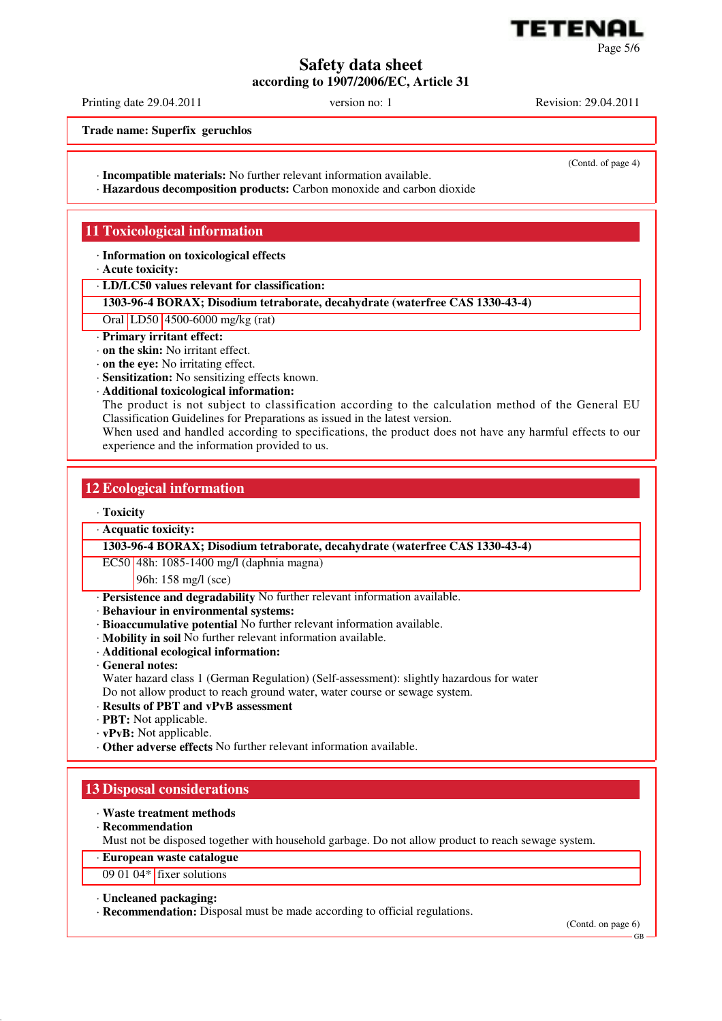

**Safety data sheet according to 1907/2006/EC, Article 31**

Printing date 29.04.2011 version no: 1 Revision: 29.04.2011

(Contd. of page 4)

**Trade name: Superfix geruchlos**

- · **Incompatible materials:** No further relevant information available.
- · **Hazardous decomposition products:** Carbon monoxide and carbon dioxide

# **11 Toxicological information**

· **Information on toxicological effects**

- · **Acute toxicity:**
- · **LD/LC50 values relevant for classification:**

### **1303-96-4 BORAX; Disodium tetraborate, decahydrate (waterfree CAS 1330-43-4)**

### Oral LD50 4500-6000 mg/kg (rat)

- · **Primary irritant effect:**
- · **on the skin:** No irritant effect.
- · **on the eye:** No irritating effect.
- · **Sensitization:** No sensitizing effects known.
- · **Additional toxicological information:**

The product is not subject to classification according to the calculation method of the General EU Classification Guidelines for Preparations as issued in the latest version.

When used and handled according to specifications, the product does not have any harmful effects to our experience and the information provided to us.

## **12 Ecological information**

### · **Toxicity**

## · **Acquatic toxicity:**

### **1303-96-4 BORAX; Disodium tetraborate, decahydrate (waterfree CAS 1330-43-4)**

EC50 48h: 1085-1400 mg/l (daphnia magna)

### 96h: 158 mg/l (sce)

- · **Persistence and degradability** No further relevant information available.
- · **Behaviour in environmental systems:**
- · **Bioaccumulative potential** No further relevant information available.
- · **Mobility in soil** No further relevant information available.
- · **Additional ecological information:**
- · **General notes:**

Water hazard class 1 (German Regulation) (Self-assessment): slightly hazardous for water

- Do not allow product to reach ground water, water course or sewage system.
- · **Results of PBT and vPvB assessment**
- · **PBT:** Not applicable.
- · **vPvB:** Not applicable.
- · **Other adverse effects** No further relevant information available.

## **13 Disposal considerations**

- · **Waste treatment methods**
- · **Recommendation**
	- Must not be disposed together with household garbage. Do not allow product to reach sewage system.
- · **European waste catalogue**
- 09 01 04\* fixer solutions

### · **Uncleaned packaging:**

· **Recommendation:** Disposal must be made according to official regulations.

(Contd. on page 6)